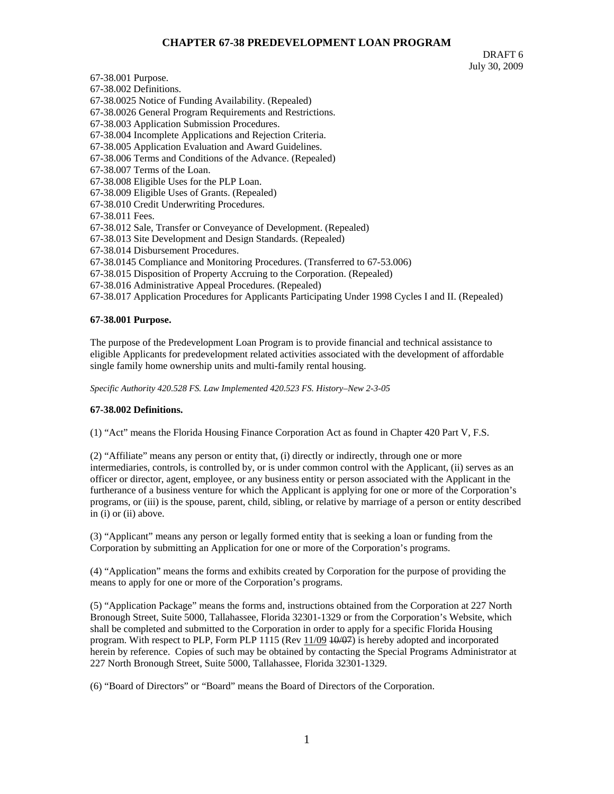# **CHAPTER 67-38 PREDEVELOPMENT LOAN PROGRAM**

DRAFT 6 July 30, 2009

67-38.001 Purpose. 67-38.002 Definitions. 67-38.0025 Notice of Funding Availability. (Repealed) 67-38.0026 General Program Requirements and Restrictions. 67-38.003 Application Submission Procedures. 67-38.004 Incomplete Applications and Rejection Criteria. 67-38.005 Application Evaluation and Award Guidelines. 67-38.006 Terms and Conditions of the Advance. (Repealed) 67-38.007 Terms of the Loan. 67-38.008 Eligible Uses for the PLP Loan. 67-38.009 Eligible Uses of Grants. (Repealed) 67-38.010 Credit Underwriting Procedures. 67-38.011 Fees. 67-38.012 Sale, Transfer or Conveyance of Development. (Repealed) 67-38.013 Site Development and Design Standards. (Repealed) 67-38.014 Disbursement Procedures. 67-38.0145 Compliance and Monitoring Procedures. (Transferred to 67-53.006) 67-38.015 Disposition of Property Accruing to the Corporation. (Repealed) 67-38.016 Administrative Appeal Procedures. (Repealed) 67-38.017 Application Procedures for Applicants Participating Under 1998 Cycles I and II. (Repealed)

### **67-38.001 Purpose.**

The purpose of the Predevelopment Loan Program is to provide financial and technical assistance to eligible Applicants for predevelopment related activities associated with the development of affordable single family home ownership units and multi-family rental housing.

*Specific Authority 420.528 FS. Law Implemented 420.523 FS. History–New 2-3-05* 

#### **67-38.002 Definitions.**

(1) "Act" means the Florida Housing Finance Corporation Act as found in Chapter 420 Part V, F.S.

(2) "Affiliate" means any person or entity that, (i) directly or indirectly, through one or more intermediaries, controls, is controlled by, or is under common control with the Applicant, (ii) serves as an officer or director, agent, employee, or any business entity or person associated with the Applicant in the furtherance of a business venture for which the Applicant is applying for one or more of the Corporation's programs, or (iii) is the spouse, parent, child, sibling, or relative by marriage of a person or entity described in (i) or (ii) above.

(3) "Applicant" means any person or legally formed entity that is seeking a loan or funding from the Corporation by submitting an Application for one or more of the Corporation's programs.

(4) "Application" means the forms and exhibits created by Corporation for the purpose of providing the means to apply for one or more of the Corporation's programs.

(5) "Application Package" means the forms and, instructions obtained from the Corporation at 227 North Bronough Street, Suite 5000, Tallahassee, Florida 32301-1329 or from the Corporation's Website, which shall be completed and submitted to the Corporation in order to apply for a specific Florida Housing program. With respect to PLP, Form PLP 1115 (Rev 11/09 40/07) is hereby adopted and incorporated herein by reference. Copies of such may be obtained by contacting the Special Programs Administrator at 227 North Bronough Street, Suite 5000, Tallahassee, Florida 32301-1329.

(6) "Board of Directors" or "Board" means the Board of Directors of the Corporation.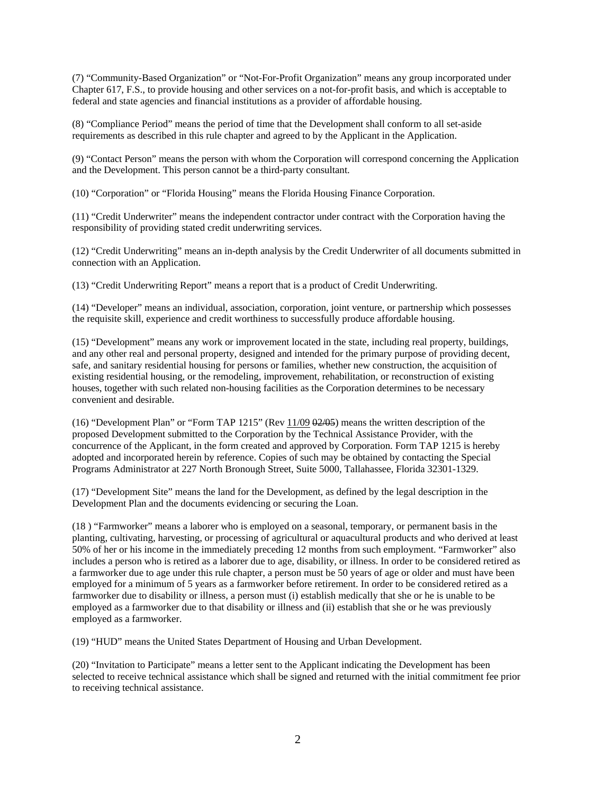(7) "Community-Based Organization" or "Not-For-Profit Organization" means any group incorporated under Chapter 617, F.S., to provide housing and other services on a not-for-profit basis, and which is acceptable to federal and state agencies and financial institutions as a provider of affordable housing.

(8) "Compliance Period" means the period of time that the Development shall conform to all set-aside requirements as described in this rule chapter and agreed to by the Applicant in the Application.

(9) "Contact Person" means the person with whom the Corporation will correspond concerning the Application and the Development. This person cannot be a third-party consultant.

(10) "Corporation" or "Florida Housing" means the Florida Housing Finance Corporation.

(11) "Credit Underwriter" means the independent contractor under contract with the Corporation having the responsibility of providing stated credit underwriting services.

(12) "Credit Underwriting" means an in-depth analysis by the Credit Underwriter of all documents submitted in connection with an Application.

(13) "Credit Underwriting Report" means a report that is a product of Credit Underwriting.

(14) "Developer" means an individual, association, corporation, joint venture, or partnership which possesses the requisite skill, experience and credit worthiness to successfully produce affordable housing.

(15) "Development" means any work or improvement located in the state, including real property, buildings, and any other real and personal property, designed and intended for the primary purpose of providing decent, safe, and sanitary residential housing for persons or families, whether new construction, the acquisition of existing residential housing, or the remodeling, improvement, rehabilitation, or reconstruction of existing houses, together with such related non-housing facilities as the Corporation determines to be necessary convenient and desirable.

(16) "Development Plan" or "Form TAP 1215" (Rev 11/09 02/05) means the written description of the proposed Development submitted to the Corporation by the Technical Assistance Provider, with the concurrence of the Applicant, in the form created and approved by Corporation. Form TAP 1215 is hereby adopted and incorporated herein by reference. Copies of such may be obtained by contacting the Special Programs Administrator at 227 North Bronough Street, Suite 5000, Tallahassee, Florida 32301-1329.

(17) "Development Site" means the land for the Development, as defined by the legal description in the Development Plan and the documents evidencing or securing the Loan.

(18 ) "Farmworker" means a laborer who is employed on a seasonal, temporary, or permanent basis in the planting, cultivating, harvesting, or processing of agricultural or aquacultural products and who derived at least 50% of her or his income in the immediately preceding 12 months from such employment. "Farmworker" also includes a person who is retired as a laborer due to age, disability, or illness. In order to be considered retired as a farmworker due to age under this rule chapter, a person must be 50 years of age or older and must have been employed for a minimum of 5 years as a farmworker before retirement. In order to be considered retired as a farmworker due to disability or illness, a person must (i) establish medically that she or he is unable to be employed as a farmworker due to that disability or illness and (ii) establish that she or he was previously employed as a farmworker.

(19) "HUD" means the United States Department of Housing and Urban Development.

(20) "Invitation to Participate" means a letter sent to the Applicant indicating the Development has been selected to receive technical assistance which shall be signed and returned with the initial commitment fee prior to receiving technical assistance.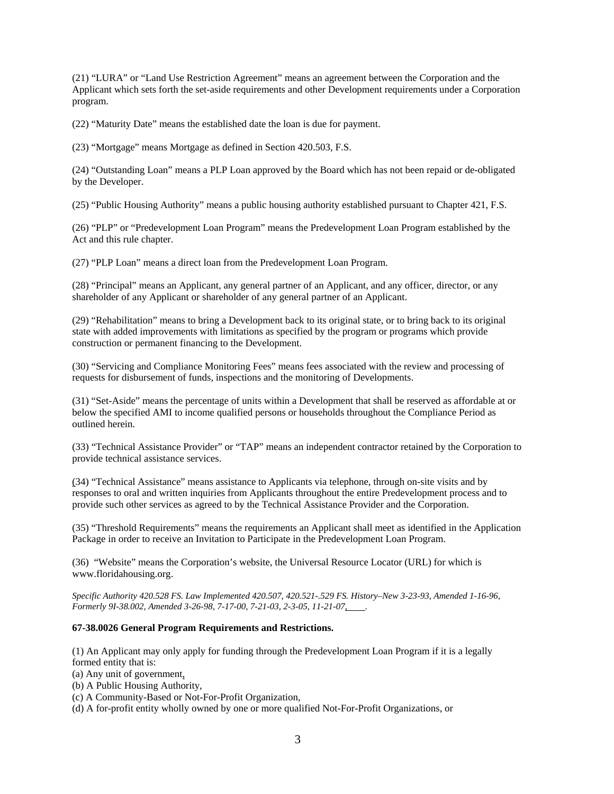(21) "LURA" or "Land Use Restriction Agreement" means an agreement between the Corporation and the Applicant which sets forth the set-aside requirements and other Development requirements under a Corporation program.

(22) "Maturity Date" means the established date the loan is due for payment.

(23) "Mortgage" means Mortgage as defined in Section 420.503, F.S.

(24) "Outstanding Loan" means a PLP Loan approved by the Board which has not been repaid or de-obligated by the Developer.

(25) "Public Housing Authority" means a public housing authority established pursuant to Chapter 421, F.S.

(26) "PLP" or "Predevelopment Loan Program" means the Predevelopment Loan Program established by the Act and this rule chapter.

(27) "PLP Loan" means a direct loan from the Predevelopment Loan Program.

(28) "Principal" means an Applicant, any general partner of an Applicant, and any officer, director, or any shareholder of any Applicant or shareholder of any general partner of an Applicant.

(29) "Rehabilitation" means to bring a Development back to its original state, or to bring back to its original state with added improvements with limitations as specified by the program or programs which provide construction or permanent financing to the Development.

(30) "Servicing and Compliance Monitoring Fees" means fees associated with the review and processing of requests for disbursement of funds, inspections and the monitoring of Developments.

(31) "Set-Aside" means the percentage of units within a Development that shall be reserved as affordable at or below the specified AMI to income qualified persons or households throughout the Compliance Period as outlined herein.

(33) "Technical Assistance Provider" or "TAP" means an independent contractor retained by the Corporation to provide technical assistance services.

(34) "Technical Assistance" means assistance to Applicants via telephone, through on-site visits and by responses to oral and written inquiries from Applicants throughout the entire Predevelopment process and to provide such other services as agreed to by the Technical Assistance Provider and the Corporation.

(35) "Threshold Requirements" means the requirements an Applicant shall meet as identified in the Application Package in order to receive an Invitation to Participate in the Predevelopment Loan Program.

(36) "Website" means the Corporation's website, the Universal Resource Locator (URL) for which is www.floridahousing.org.

*Specific Authority 420.528 FS. Law Implemented 420.507, 420.521-.529 FS. History–New 3-23-93, Amended 1-16-96, Formerly 9I-38.002, Amended 3-26-98, 7-17-00, 7-21-03, 2-3-05, 11-21-07, .* 

# **67-38.0026 General Program Requirements and Restrictions.**

(1) An Applicant may only apply for funding through the Predevelopment Loan Program if it is a legally formed entity that is:

(a) Any unit of government,

(b) A Public Housing Authority,

(c) A Community-Based or Not-For-Profit Organization,

(d) A for-profit entity wholly owned by one or more qualified Not-For-Profit Organizations, or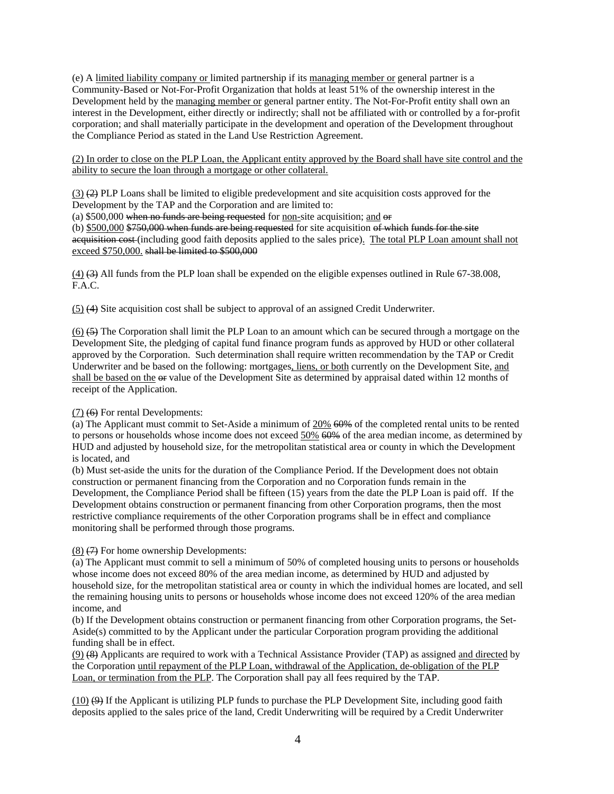(e) A limited liability company or limited partnership if its managing member or general partner is a Community-Based or Not-For-Profit Organization that holds at least 51% of the ownership interest in the Development held by the managing member or general partner entity. The Not-For-Profit entity shall own an interest in the Development, either directly or indirectly; shall not be affiliated with or controlled by a for-profit corporation; and shall materially participate in the development and operation of the Development throughout the Compliance Period as stated in the Land Use Restriction Agreement.

(2) In order to close on the PLP Loan, the Applicant entity approved by the Board shall have site control and the ability to secure the loan through a mortgage or other collateral.

 $(3)$   $(2)$  PLP Loans shall be limited to eligible predevelopment and site acquisition costs approved for the Development by the TAP and the Corporation and are limited to:

(a)  $$500,000$  when no funds are being requested for non-site acquisition; and  $\Theta$ 

(b) \$500,000 \$750,000 when funds are being requested for site acquisition of which funds for the site acquisition cost (including good faith deposits applied to the sales price). The total PLP Loan amount shall not exceed \$750,000. shall be limited to \$500,000

(4) (3) All funds from the PLP loan shall be expended on the eligible expenses outlined in Rule 67-38.008, F.A.C.

(5) (4) Site acquisition cost shall be subject to approval of an assigned Credit Underwriter.

(6) (5) The Corporation shall limit the PLP Loan to an amount which can be secured through a mortgage on the Development Site, the pledging of capital fund finance program funds as approved by HUD or other collateral approved by the Corporation. Such determination shall require written recommendation by the TAP or Credit Underwriter and be based on the following: mortgages, liens, or both currently on the Development Site, and shall be based on the  $\Theta$  value of the Development Site as determined by appraisal dated within 12 months of receipt of the Application.

# (7) (6) For rental Developments:

(a) The Applicant must commit to Set-Aside a minimum of 20% 60% of the completed rental units to be rented to persons or households whose income does not exceed  $50\%$  60% of the area median income, as determined by HUD and adjusted by household size, for the metropolitan statistical area or county in which the Development is located, and

(b) Must set-aside the units for the duration of the Compliance Period. If the Development does not obtain construction or permanent financing from the Corporation and no Corporation funds remain in the Development, the Compliance Period shall be fifteen (15) years from the date the PLP Loan is paid off. If the Development obtains construction or permanent financing from other Corporation programs, then the most restrictive compliance requirements of the other Corporation programs shall be in effect and compliance monitoring shall be performed through those programs.

# $(8)$   $(7)$  For home ownership Developments:

(a) The Applicant must commit to sell a minimum of 50% of completed housing units to persons or households whose income does not exceed 80% of the area median income, as determined by HUD and adjusted by household size, for the metropolitan statistical area or county in which the individual homes are located, and sell the remaining housing units to persons or households whose income does not exceed 120% of the area median income, and

(b) If the Development obtains construction or permanent financing from other Corporation programs, the Set-Aside(s) committed to by the Applicant under the particular Corporation program providing the additional funding shall be in effect.

(9) (8) Applicants are required to work with a Technical Assistance Provider (TAP) as assigned and directed by the Corporation until repayment of the PLP Loan, withdrawal of the Application, de-obligation of the PLP Loan, or termination from the PLP. The Corporation shall pay all fees required by the TAP.

(10) (9) If the Applicant is utilizing PLP funds to purchase the PLP Development Site, including good faith deposits applied to the sales price of the land, Credit Underwriting will be required by a Credit Underwriter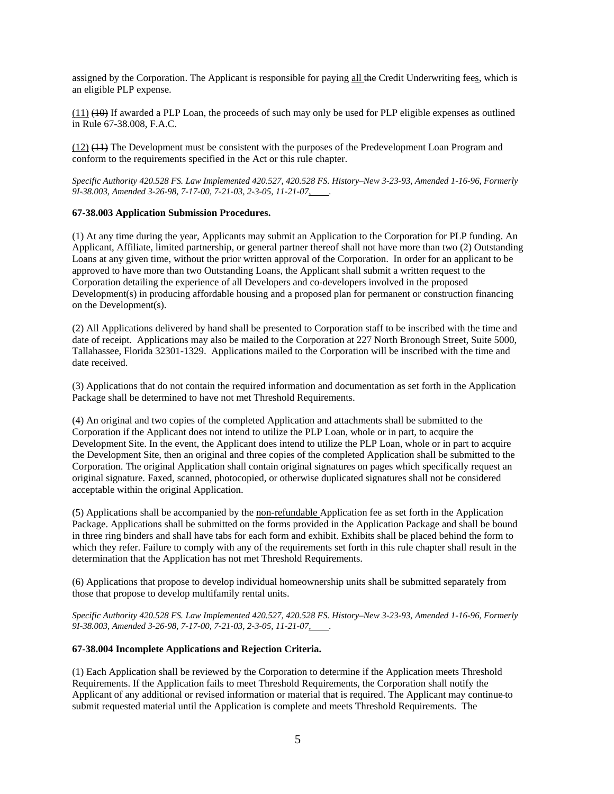assigned by the Corporation. The Applicant is responsible for paying all the Credit Underwriting fees, which is an eligible PLP expense.

(11) (10) If awarded a PLP Loan, the proceeds of such may only be used for PLP eligible expenses as outlined in Rule 67-38.008, F.A.C.

(12) (11) The Development must be consistent with the purposes of the Predevelopment Loan Program and conform to the requirements specified in the Act or this rule chapter.

*Specific Authority 420.528 FS. Law Implemented 420.527, 420.528 FS. History–New 3-23-93, Amended 1-16-96, Formerly*  9I-38.003, Amended 3-26-98, 7-17-00, 7-21-03, 2-3-05, 11-21-07,

### **67-38.003 Application Submission Procedures.**

(1) At any time during the year, Applicants may submit an Application to the Corporation for PLP funding. An Applicant, Affiliate, limited partnership, or general partner thereof shall not have more than two (2) Outstanding Loans at any given time, without the prior written approval of the Corporation. In order for an applicant to be approved to have more than two Outstanding Loans, the Applicant shall submit a written request to the Corporation detailing the experience of all Developers and co-developers involved in the proposed Development(s) in producing affordable housing and a proposed plan for permanent or construction financing on the Development(s).

(2) All Applications delivered by hand shall be presented to Corporation staff to be inscribed with the time and date of receipt. Applications may also be mailed to the Corporation at 227 North Bronough Street, Suite 5000, Tallahassee, Florida 32301-1329. Applications mailed to the Corporation will be inscribed with the time and date received.

(3) Applications that do not contain the required information and documentation as set forth in the Application Package shall be determined to have not met Threshold Requirements.

(4) An original and two copies of the completed Application and attachments shall be submitted to the Corporation if the Applicant does not intend to utilize the PLP Loan, whole or in part, to acquire the Development Site. In the event, the Applicant does intend to utilize the PLP Loan, whole or in part to acquire the Development Site, then an original and three copies of the completed Application shall be submitted to the Corporation. The original Application shall contain original signatures on pages which specifically request an original signature. Faxed, scanned, photocopied, or otherwise duplicated signatures shall not be considered acceptable within the original Application.

(5) Applications shall be accompanied by the non-refundable Application fee as set forth in the Application Package. Applications shall be submitted on the forms provided in the Application Package and shall be bound in three ring binders and shall have tabs for each form and exhibit. Exhibits shall be placed behind the form to which they refer. Failure to comply with any of the requirements set forth in this rule chapter shall result in the determination that the Application has not met Threshold Requirements.

(6) Applications that propose to develop individual homeownership units shall be submitted separately from those that propose to develop multifamily rental units.

*Specific Authority 420.528 FS. Law Implemented 420.527, 420.528 FS. History–New 3-23-93, Amended 1-16-96, Formerly*  9I-38.003, Amended 3-26-98, 7-17-00, 7-21-03, 2-3-05, 11-21-07.

#### **67-38.004 Incomplete Applications and Rejection Criteria.**

(1) Each Application shall be reviewed by the Corporation to determine if the Application meets Threshold Requirements. If the Application fails to meet Threshold Requirements, the Corporation shall notify the Applicant of any additional or revised information or material that is required. The Applicant may continue to submit requested material until the Application is complete and meets Threshold Requirements. The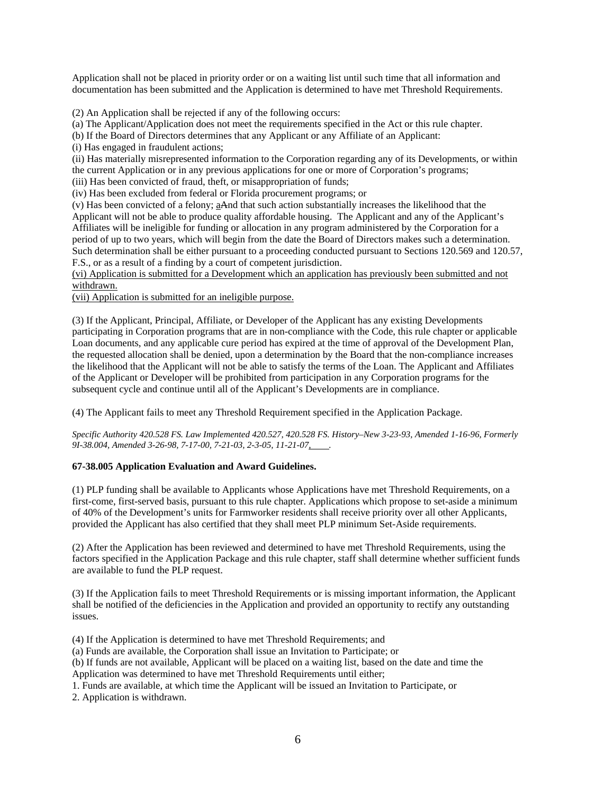Application shall not be placed in priority order or on a waiting list until such time that all information and documentation has been submitted and the Application is determined to have met Threshold Requirements.

(2) An Application shall be rejected if any of the following occurs:

(a) The Applicant/Application does not meet the requirements specified in the Act or this rule chapter.

(b) If the Board of Directors determines that any Applicant or any Affiliate of an Applicant:

(i) Has engaged in fraudulent actions;

(ii) Has materially misrepresented information to the Corporation regarding any of its Developments, or within the current Application or in any previous applications for one or more of Corporation's programs;

(iii) Has been convicted of fraud, theft, or misappropriation of funds;

(iv) Has been excluded from federal or Florida procurement programs; or

(v) Has been convicted of a felony; aAnd that such action substantially increases the likelihood that the Applicant will not be able to produce quality affordable housing. The Applicant and any of the Applicant's Affiliates will be ineligible for funding or allocation in any program administered by the Corporation for a period of up to two years, which will begin from the date the Board of Directors makes such a determination. Such determination shall be either pursuant to a proceeding conducted pursuant to Sections 120.569 and 120.57, F.S., or as a result of a finding by a court of competent jurisdiction.

(vi) Application is submitted for a Development which an application has previously been submitted and not withdrawn.

(vii) Application is submitted for an ineligible purpose.

(3) If the Applicant, Principal, Affiliate, or Developer of the Applicant has any existing Developments participating in Corporation programs that are in non-compliance with the Code, this rule chapter or applicable Loan documents, and any applicable cure period has expired at the time of approval of the Development Plan, the requested allocation shall be denied, upon a determination by the Board that the non-compliance increases the likelihood that the Applicant will not be able to satisfy the terms of the Loan. The Applicant and Affiliates of the Applicant or Developer will be prohibited from participation in any Corporation programs for the subsequent cycle and continue until all of the Applicant's Developments are in compliance.

(4) The Applicant fails to meet any Threshold Requirement specified in the Application Package.

*Specific Authority 420.528 FS. Law Implemented 420.527, 420.528 FS. History–New 3-23-93, Amended 1-16-96, Formerly 9I-38.004, Amended 3-26-98, 7-17-00, 7-21-03, 2-3-05, 11-21-07, .* 

# **67-38.005 Application Evaluation and Award Guidelines.**

(1) PLP funding shall be available to Applicants whose Applications have met Threshold Requirements, on a first-come, first-served basis, pursuant to this rule chapter. Applications which propose to set-aside a minimum of 40% of the Development's units for Farmworker residents shall receive priority over all other Applicants, provided the Applicant has also certified that they shall meet PLP minimum Set-Aside requirements.

(2) After the Application has been reviewed and determined to have met Threshold Requirements, using the factors specified in the Application Package and this rule chapter, staff shall determine whether sufficient funds are available to fund the PLP request.

(3) If the Application fails to meet Threshold Requirements or is missing important information, the Applicant shall be notified of the deficiencies in the Application and provided an opportunity to rectify any outstanding issues.

(4) If the Application is determined to have met Threshold Requirements; and

(a) Funds are available, the Corporation shall issue an Invitation to Participate; or

(b) If funds are not available, Applicant will be placed on a waiting list, based on the date and time the Application was determined to have met Threshold Requirements until either;

1. Funds are available, at which time the Applicant will be issued an Invitation to Participate, or

2. Application is withdrawn.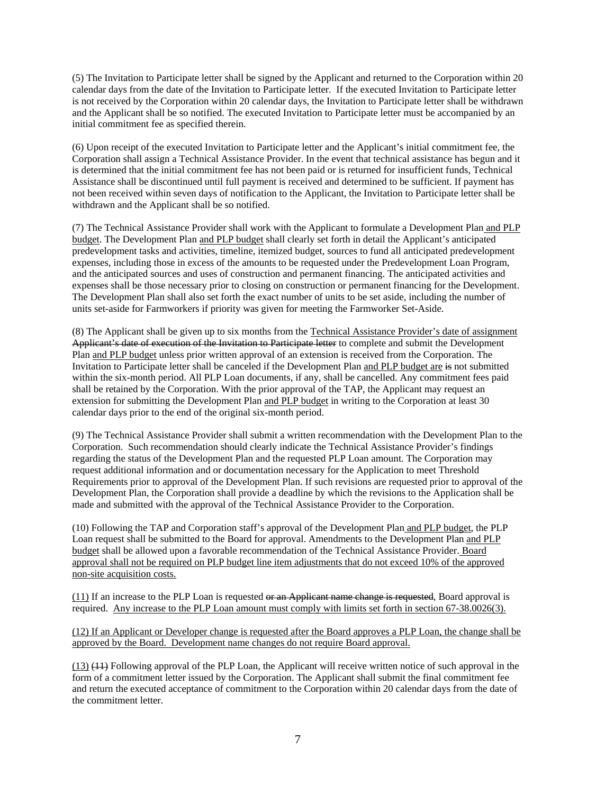(5) The Invitation to Participate letter shall be signed by the Applicant and returned to the Corporation within 20 calendar days from the date of the Invitation to Participate letter. If the executed Invitation to Participate letter is not received by the Corporation within 20 calendar days, the Invitation to Participate letter shall be withdrawn and the Applicant shall be so notified. The executed Invitation to Participate letter must be accompanied by an initial commitment fee as specified therein.

(6) Upon receipt of the executed Invitation to Participate letter and the Applicant's initial commitment fee, the Corporation shall assign a Technical Assistance Provider. In the event that technical assistance has begun and it is determined that the initial commitment fee has not been paid or is returned for insufficient funds, Technical Assistance shall be discontinued until full payment is received and determined to be sufficient. If payment has not been received within seven days of notification to the Applicant, the Invitation to Participate letter shall be withdrawn and the Applicant shall be so notified.

(7) The Technical Assistance Provider shall work with the Applicant to formulate a Development Plan and PLP budget. The Development Plan and PLP budget shall clearly set forth in detail the Applicant's anticipated predevelopment tasks and activities, timeline, itemized budget, sources to fund all anticipated predevelopment expenses, including those in excess of the amounts to be requested under the Predevelopment Loan Program, and the anticipated sources and uses of construction and permanent financing. The anticipated activities and expenses shall be those necessary prior to closing on construction or permanent financing for the Development. The Development Plan shall also set forth the exact number of units to be set aside, including the number of units set-aside for Farmworkers if priority was given for meeting the Farmworker Set-Aside.

(8) The Applicant shall be given up to six months from the Technical Assistance Provider's date of assignment Applicant's date of execution of the Invitation to Participate letter to complete and submit the Development Plan and PLP budget unless prior written approval of an extension is received from the Corporation. The Invitation to Participate letter shall be canceled if the Development Plan and PLP budget are is not submitted within the six-month period. All PLP Loan documents, if any, shall be cancelled. Any commitment fees paid shall be retained by the Corporation. With the prior approval of the TAP, the Applicant may request an extension for submitting the Development Plan and PLP budget in writing to the Corporation at least 30 calendar days prior to the end of the original six-month period.

(9) The Technical Assistance Provider shall submit a written recommendation with the Development Plan to the Corporation. Such recommendation should clearly indicate the Technical Assistance Provider's findings regarding the status of the Development Plan and the requested PLP Loan amount. The Corporation may request additional information and or documentation necessary for the Application to meet Threshold Requirements prior to approval of the Development Plan. If such revisions are requested prior to approval of the Development Plan, the Corporation shall provide a deadline by which the revisions to the Application shall be made and submitted with the approval of the Technical Assistance Provider to the Corporation.

(10) Following the TAP and Corporation staff's approval of the Development Plan and PLP budget, the PLP Loan request shall be submitted to the Board for approval. Amendments to the Development Plan and PLP budget shall be allowed upon a favorable recommendation of the Technical Assistance Provider. Board approval shall not be required on PLP budget line item adjustments that do not exceed 10% of the approved non-site acquisition costs.

 $(11)$  If an increase to the PLP Loan is requested or an Applicant name change is requested, Board approval is required. Any increase to the PLP Loan amount must comply with limits set forth in section 67-38.0026(3).

(12) If an Applicant or Developer change is requested after the Board approves a PLP Loan, the change shall be approved by the Board. Development name changes do not require Board approval.

(13) (11) Following approval of the PLP Loan, the Applicant will receive written notice of such approval in the form of a commitment letter issued by the Corporation. The Applicant shall submit the final commitment fee and return the executed acceptance of commitment to the Corporation within 20 calendar days from the date of the commitment letter.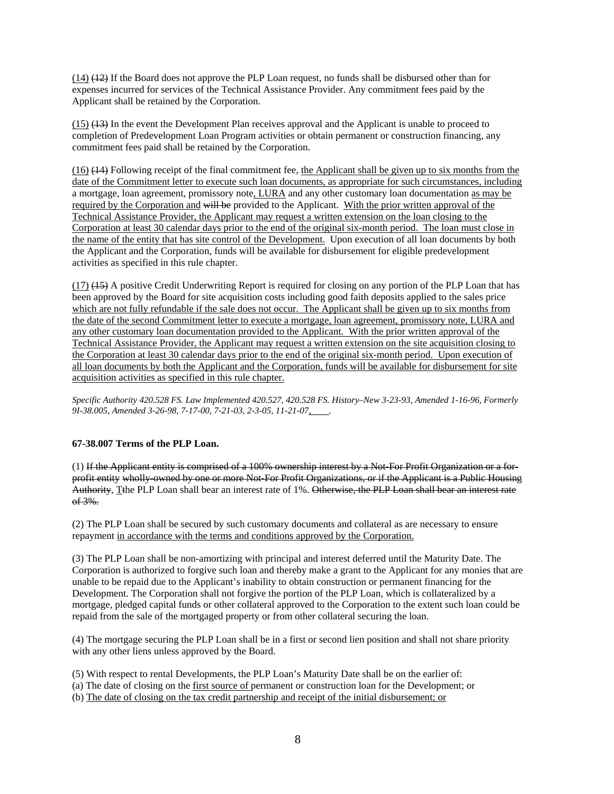(14) (12) If the Board does not approve the PLP Loan request, no funds shall be disbursed other than for expenses incurred for services of the Technical Assistance Provider. Any commitment fees paid by the Applicant shall be retained by the Corporation.

(15) (13) In the event the Development Plan receives approval and the Applicant is unable to proceed to completion of Predevelopment Loan Program activities or obtain permanent or construction financing, any commitment fees paid shall be retained by the Corporation.

(16) (14) Following receipt of the final commitment fee, the Applicant shall be given up to six months from the date of the Commitment letter to execute such loan documents, as appropriate for such circumstances, including a mortgage, loan agreement, promissory note, LURA and any other customary loan documentation as may be required by the Corporation and will be provided to the Applicant. With the prior written approval of the Technical Assistance Provider, the Applicant may request a written extension on the loan closing to the Corporation at least 30 calendar days prior to the end of the original six-month period. The loan must close in the name of the entity that has site control of the Development. Upon execution of all loan documents by both the Applicant and the Corporation, funds will be available for disbursement for eligible predevelopment activities as specified in this rule chapter.

(17) (15) A positive Credit Underwriting Report is required for closing on any portion of the PLP Loan that has been approved by the Board for site acquisition costs including good faith deposits applied to the sales price which are not fully refundable if the sale does not occur. The Applicant shall be given up to six months from the date of the second Commitment letter to execute a mortgage, loan agreement, promissory note, LURA and any other customary loan documentation provided to the Applicant. With the prior written approval of the Technical Assistance Provider, the Applicant may request a written extension on the site acquisition closing to the Corporation at least 30 calendar days prior to the end of the original six-month period. Upon execution of all loan documents by both the Applicant and the Corporation, funds will be available for disbursement for site acquisition activities as specified in this rule chapter.

*Specific Authority 420.528 FS. Law Implemented 420.527, 420.528 FS. History–New 3-23-93, Amended 1-16-96, Formerly 9I-38.005, Amended 3-26-98, 7-17-00, 7-21-03, 2-3-05, 11-21-07, .* 

# **67-38.007 Terms of the PLP Loan.**

(1) If the Applicant entity is comprised of a 100% ownership interest by a Not-For Profit Organization or a forprofit entity wholly-owned by one or more Not-For Profit Organizations, or if the Applicant is a Public Housing Authority, Tthe PLP Loan shall bear an interest rate of 1%. Otherwise, the PLP Loan shall bear an interest rate of 3%.

(2) The PLP Loan shall be secured by such customary documents and collateral as are necessary to ensure repayment in accordance with the terms and conditions approved by the Corporation.

(3) The PLP Loan shall be non-amortizing with principal and interest deferred until the Maturity Date. The Corporation is authorized to forgive such loan and thereby make a grant to the Applicant for any monies that are unable to be repaid due to the Applicant's inability to obtain construction or permanent financing for the Development. The Corporation shall not forgive the portion of the PLP Loan, which is collateralized by a mortgage, pledged capital funds or other collateral approved to the Corporation to the extent such loan could be repaid from the sale of the mortgaged property or from other collateral securing the loan.

(4) The mortgage securing the PLP Loan shall be in a first or second lien position and shall not share priority with any other liens unless approved by the Board.

- (5) With respect to rental Developments, the PLP Loan's Maturity Date shall be on the earlier of:
- (a) The date of closing on the first source of permanent or construction loan for the Development; or
- (b) The date of closing on the tax credit partnership and receipt of the initial disbursement; or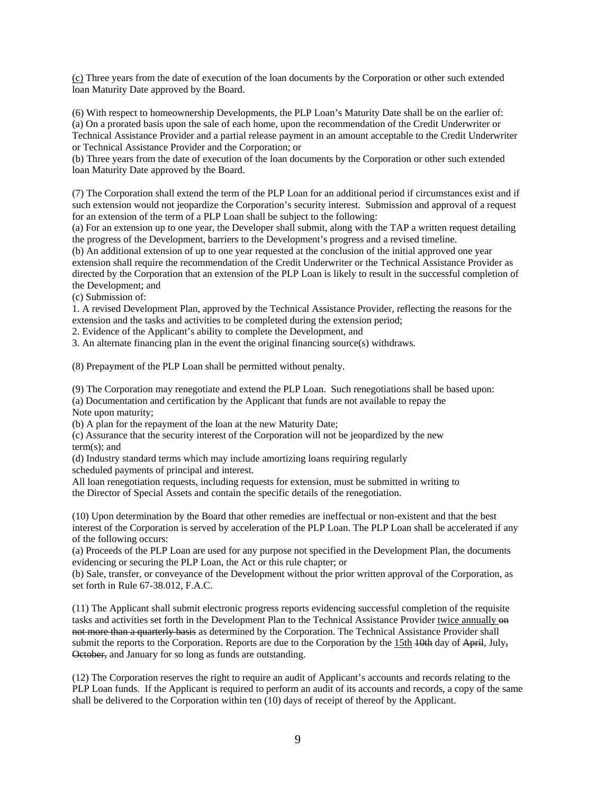(c) Three years from the date of execution of the loan documents by the Corporation or other such extended loan Maturity Date approved by the Board.

(6) With respect to homeownership Developments, the PLP Loan's Maturity Date shall be on the earlier of: (a) On a prorated basis upon the sale of each home, upon the recommendation of the Credit Underwriter or Technical Assistance Provider and a partial release payment in an amount acceptable to the Credit Underwriter or Technical Assistance Provider and the Corporation; or

(b) Three years from the date of execution of the loan documents by the Corporation or other such extended loan Maturity Date approved by the Board.

(7) The Corporation shall extend the term of the PLP Loan for an additional period if circumstances exist and if such extension would not jeopardize the Corporation's security interest. Submission and approval of a request for an extension of the term of a PLP Loan shall be subject to the following:

(a) For an extension up to one year, the Developer shall submit, along with the TAP a written request detailing the progress of the Development, barriers to the Development's progress and a revised timeline.

(b) An additional extension of up to one year requested at the conclusion of the initial approved one year extension shall require the recommendation of the Credit Underwriter or the Technical Assistance Provider as directed by the Corporation that an extension of the PLP Loan is likely to result in the successful completion of the Development; and

(c) Submission of:

1. A revised Development Plan, approved by the Technical Assistance Provider, reflecting the reasons for the extension and the tasks and activities to be completed during the extension period;

2. Evidence of the Applicant's ability to complete the Development, and

3. An alternate financing plan in the event the original financing source(s) withdraws.

(8) Prepayment of the PLP Loan shall be permitted without penalty.

(9) The Corporation may renegotiate and extend the PLP Loan. Such renegotiations shall be based upon:

(a) Documentation and certification by the Applicant that funds are not available to repay the Note upon maturity;

(b) A plan for the repayment of the loan at the new Maturity Date;

(c) Assurance that the security interest of the Corporation will not be jeopardized by the new term(s); and

(d) Industry standard terms which may include amortizing loans requiring regularly scheduled payments of principal and interest.

All loan renegotiation requests, including requests for extension, must be submitted in writing to the Director of Special Assets and contain the specific details of the renegotiation.

(10) Upon determination by the Board that other remedies are ineffectual or non-existent and that the best interest of the Corporation is served by acceleration of the PLP Loan. The PLP Loan shall be accelerated if any of the following occurs:

(a) Proceeds of the PLP Loan are used for any purpose not specified in the Development Plan, the documents evidencing or securing the PLP Loan, the Act or this rule chapter; or

(b) Sale, transfer, or conveyance of the Development without the prior written approval of the Corporation, as set forth in Rule 67-38.012, F.A.C.

(11) The Applicant shall submit electronic progress reports evidencing successful completion of the requisite tasks and activities set forth in the Development Plan to the Technical Assistance Provider twice annually  $\Theta$ not more than a quarterly basis as determined by the Corporation. The Technical Assistance Provider shall submit the reports to the Corporation. Reports are due to the Corporation by the 15th  $\frac{10 \text{th}}{10 \text{th}}$  day of April, July, October, and January for so long as funds are outstanding.

(12) The Corporation reserves the right to require an audit of Applicant's accounts and records relating to the PLP Loan funds. If the Applicant is required to perform an audit of its accounts and records, a copy of the same shall be delivered to the Corporation within ten (10) days of receipt of thereof by the Applicant.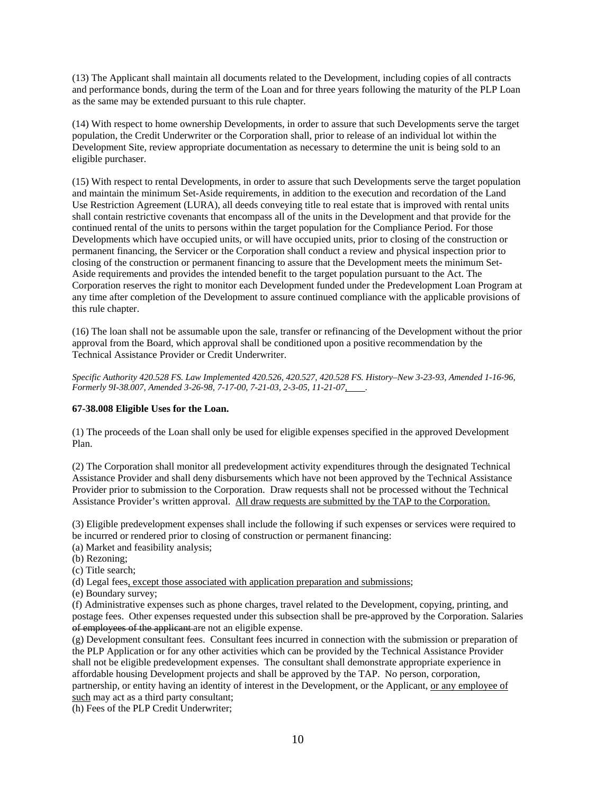(13) The Applicant shall maintain all documents related to the Development, including copies of all contracts and performance bonds, during the term of the Loan and for three years following the maturity of the PLP Loan as the same may be extended pursuant to this rule chapter.

(14) With respect to home ownership Developments, in order to assure that such Developments serve the target population, the Credit Underwriter or the Corporation shall, prior to release of an individual lot within the Development Site, review appropriate documentation as necessary to determine the unit is being sold to an eligible purchaser.

(15) With respect to rental Developments, in order to assure that such Developments serve the target population and maintain the minimum Set-Aside requirements, in addition to the execution and recordation of the Land Use Restriction Agreement (LURA), all deeds conveying title to real estate that is improved with rental units shall contain restrictive covenants that encompass all of the units in the Development and that provide for the continued rental of the units to persons within the target population for the Compliance Period. For those Developments which have occupied units, or will have occupied units, prior to closing of the construction or permanent financing, the Servicer or the Corporation shall conduct a review and physical inspection prior to closing of the construction or permanent financing to assure that the Development meets the minimum Set-Aside requirements and provides the intended benefit to the target population pursuant to the Act. The Corporation reserves the right to monitor each Development funded under the Predevelopment Loan Program at any time after completion of the Development to assure continued compliance with the applicable provisions of this rule chapter.

(16) The loan shall not be assumable upon the sale, transfer or refinancing of the Development without the prior approval from the Board, which approval shall be conditioned upon a positive recommendation by the Technical Assistance Provider or Credit Underwriter.

*Specific Authority 420.528 FS. Law Implemented 420.526, 420.527, 420.528 FS. History–New 3-23-93, Amended 1-16-96, Formerly 9I-38.007, Amended 3-26-98, 7-17-00, 7-21-03, 2-3-05, 11-21-07, .* 

# **67-38.008 Eligible Uses for the Loan.**

(1) The proceeds of the Loan shall only be used for eligible expenses specified in the approved Development Plan.

(2) The Corporation shall monitor all predevelopment activity expenditures through the designated Technical Assistance Provider and shall deny disbursements which have not been approved by the Technical Assistance Provider prior to submission to the Corporation. Draw requests shall not be processed without the Technical Assistance Provider's written approval. All draw requests are submitted by the TAP to the Corporation.

(3) Eligible predevelopment expenses shall include the following if such expenses or services were required to be incurred or rendered prior to closing of construction or permanent financing:

- (a) Market and feasibility analysis;
- (b) Rezoning;
- (c) Title search;

(d) Legal fees, except those associated with application preparation and submissions;

(e) Boundary survey;

(f) Administrative expenses such as phone charges, travel related to the Development, copying, printing, and postage fees. Other expenses requested under this subsection shall be pre-approved by the Corporation. Salaries of employees of the applicant are not an eligible expense.

(g) Development consultant fees. Consultant fees incurred in connection with the submission or preparation of the PLP Application or for any other activities which can be provided by the Technical Assistance Provider shall not be eligible predevelopment expenses. The consultant shall demonstrate appropriate experience in affordable housing Development projects and shall be approved by the TAP. No person, corporation, partnership, or entity having an identity of interest in the Development, or the Applicant, or any employee of such may act as a third party consultant;

(h) Fees of the PLP Credit Underwriter;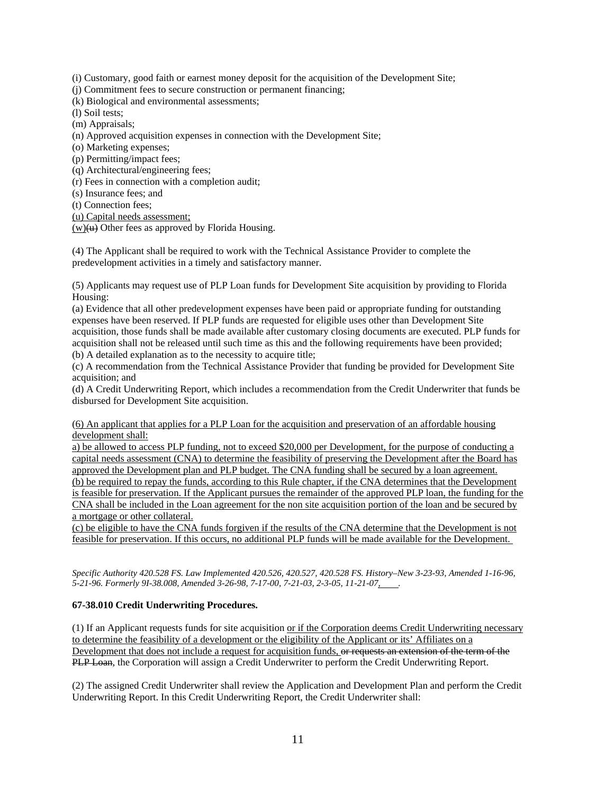(i) Customary, good faith or earnest money deposit for the acquisition of the Development Site;

(j) Commitment fees to secure construction or permanent financing;

(k) Biological and environmental assessments;

(l) Soil tests;

(m) Appraisals;

(n) Approved acquisition expenses in connection with the Development Site;

(o) Marketing expenses;

(p) Permitting/impact fees;

(q) Architectural/engineering fees;

(r) Fees in connection with a completion audit;

(s) Insurance fees; and

(t) Connection fees;

(u) Capital needs assessment;

 $(w)(u)$  Other fees as approved by Florida Housing.

(4) The Applicant shall be required to work with the Technical Assistance Provider to complete the predevelopment activities in a timely and satisfactory manner.

(5) Applicants may request use of PLP Loan funds for Development Site acquisition by providing to Florida Housing:

(a) Evidence that all other predevelopment expenses have been paid or appropriate funding for outstanding expenses have been reserved. If PLP funds are requested for eligible uses other than Development Site acquisition, those funds shall be made available after customary closing documents are executed. PLP funds for acquisition shall not be released until such time as this and the following requirements have been provided; (b) A detailed explanation as to the necessity to acquire title;

(c) A recommendation from the Technical Assistance Provider that funding be provided for Development Site acquisition; and

(d) A Credit Underwriting Report, which includes a recommendation from the Credit Underwriter that funds be disbursed for Development Site acquisition.

(6) An applicant that applies for a PLP Loan for the acquisition and preservation of an affordable housing development shall:

a) be allowed to access PLP funding, not to exceed \$20,000 per Development, for the purpose of conducting a capital needs assessment (CNA) to determine the feasibility of preserving the Development after the Board has approved the Development plan and PLP budget. The CNA funding shall be secured by a loan agreement. (b) be required to repay the funds, according to this Rule chapter, if the CNA determines that the Development is feasible for preservation. If the Applicant pursues the remainder of the approved PLP loan, the funding for the CNA shall be included in the Loan agreement for the non site acquisition portion of the loan and be secured by a mortgage or other collateral.

(c) be eligible to have the CNA funds forgiven if the results of the CNA determine that the Development is not feasible for preservation. If this occurs, no additional PLP funds will be made available for the Development.

*Specific Authority 420.528 FS. Law Implemented 420.526, 420.527, 420.528 FS. History–New 3-23-93, Amended 1-16-96, 5-21-96. Formerly 9I-38.008, Amended 3-26-98, 7-17-00, 7-21-03, 2-3-05, 11-21-07, .* 

# **67-38.010 Credit Underwriting Procedures.**

(1) If an Applicant requests funds for site acquisition or if the Corporation deems Credit Underwriting necessary to determine the feasibility of a development or the eligibility of the Applicant or its' Affiliates on a Development that does not include a request for acquisition funds, or requests an extension of the term of the PLP Loan, the Corporation will assign a Credit Underwriter to perform the Credit Underwriting Report.

(2) The assigned Credit Underwriter shall review the Application and Development Plan and perform the Credit Underwriting Report. In this Credit Underwriting Report, the Credit Underwriter shall: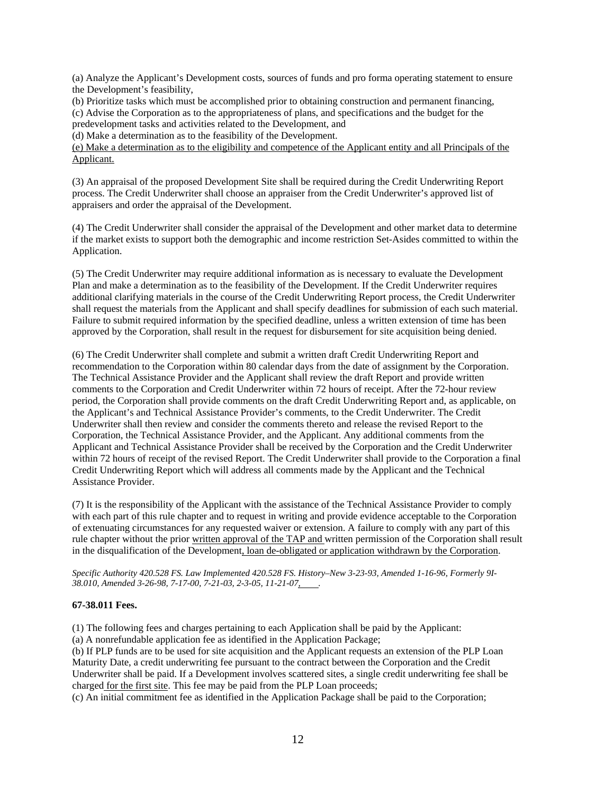(a) Analyze the Applicant's Development costs, sources of funds and pro forma operating statement to ensure the Development's feasibility,

(b) Prioritize tasks which must be accomplished prior to obtaining construction and permanent financing, (c) Advise the Corporation as to the appropriateness of plans, and specifications and the budget for the predevelopment tasks and activities related to the Development, and

(d) Make a determination as to the feasibility of the Development.

(e) Make a determination as to the eligibility and competence of the Applicant entity and all Principals of the Applicant.

(3) An appraisal of the proposed Development Site shall be required during the Credit Underwriting Report process. The Credit Underwriter shall choose an appraiser from the Credit Underwriter's approved list of appraisers and order the appraisal of the Development.

(4) The Credit Underwriter shall consider the appraisal of the Development and other market data to determine if the market exists to support both the demographic and income restriction Set-Asides committed to within the Application.

(5) The Credit Underwriter may require additional information as is necessary to evaluate the Development Plan and make a determination as to the feasibility of the Development. If the Credit Underwriter requires additional clarifying materials in the course of the Credit Underwriting Report process, the Credit Underwriter shall request the materials from the Applicant and shall specify deadlines for submission of each such material. Failure to submit required information by the specified deadline, unless a written extension of time has been approved by the Corporation, shall result in the request for disbursement for site acquisition being denied.

(6) The Credit Underwriter shall complete and submit a written draft Credit Underwriting Report and recommendation to the Corporation within 80 calendar days from the date of assignment by the Corporation. The Technical Assistance Provider and the Applicant shall review the draft Report and provide written comments to the Corporation and Credit Underwriter within 72 hours of receipt. After the 72-hour review period, the Corporation shall provide comments on the draft Credit Underwriting Report and, as applicable, on the Applicant's and Technical Assistance Provider's comments, to the Credit Underwriter. The Credit Underwriter shall then review and consider the comments thereto and release the revised Report to the Corporation, the Technical Assistance Provider, and the Applicant. Any additional comments from the Applicant and Technical Assistance Provider shall be received by the Corporation and the Credit Underwriter within 72 hours of receipt of the revised Report. The Credit Underwriter shall provide to the Corporation a final Credit Underwriting Report which will address all comments made by the Applicant and the Technical Assistance Provider.

(7) It is the responsibility of the Applicant with the assistance of the Technical Assistance Provider to comply with each part of this rule chapter and to request in writing and provide evidence acceptable to the Corporation of extenuating circumstances for any requested waiver or extension. A failure to comply with any part of this rule chapter without the prior written approval of the TAP and written permission of the Corporation shall result in the disqualification of the Development, loan de-obligated or application withdrawn by the Corporation.

*Specific Authority 420.528 FS. Law Implemented 420.528 FS. History–New 3-23-93, Amended 1-16-96, Formerly 9I-*38.010, Amended 3-26-98, 7-17-00, 7-21-03, 2-3-05, 11-21-07, ........

# **67-38.011 Fees.**

(1) The following fees and charges pertaining to each Application shall be paid by the Applicant:

(a) A nonrefundable application fee as identified in the Application Package;

(b) If PLP funds are to be used for site acquisition and the Applicant requests an extension of the PLP Loan Maturity Date, a credit underwriting fee pursuant to the contract between the Corporation and the Credit Underwriter shall be paid. If a Development involves scattered sites, a single credit underwriting fee shall be charged for the first site. This fee may be paid from the PLP Loan proceeds;

(c) An initial commitment fee as identified in the Application Package shall be paid to the Corporation;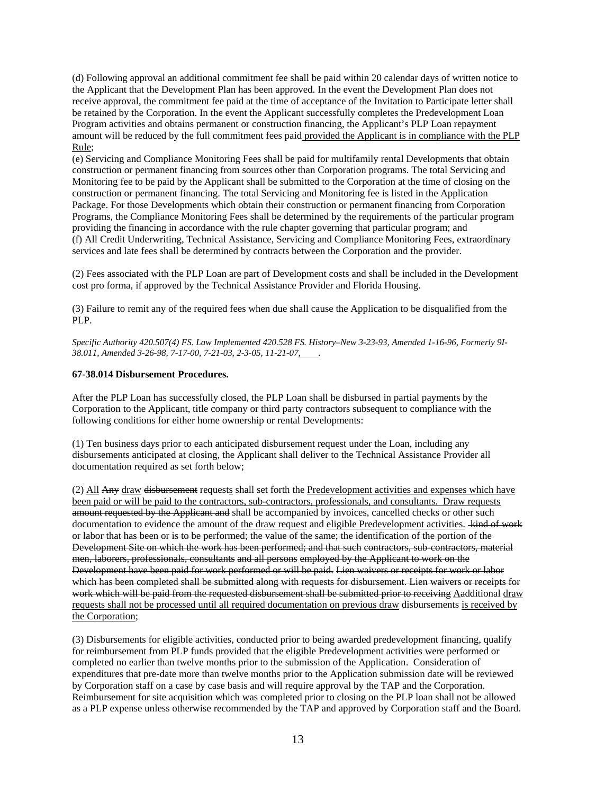(d) Following approval an additional commitment fee shall be paid within 20 calendar days of written notice to the Applicant that the Development Plan has been approved. In the event the Development Plan does not receive approval, the commitment fee paid at the time of acceptance of the Invitation to Participate letter shall be retained by the Corporation. In the event the Applicant successfully completes the Predevelopment Loan Program activities and obtains permanent or construction financing, the Applicant's PLP Loan repayment amount will be reduced by the full commitment fees paid provided the Applicant is in compliance with the PLP Rule;

(e) Servicing and Compliance Monitoring Fees shall be paid for multifamily rental Developments that obtain construction or permanent financing from sources other than Corporation programs. The total Servicing and Monitoring fee to be paid by the Applicant shall be submitted to the Corporation at the time of closing on the construction or permanent financing. The total Servicing and Monitoring fee is listed in the Application Package. For those Developments which obtain their construction or permanent financing from Corporation Programs, the Compliance Monitoring Fees shall be determined by the requirements of the particular program providing the financing in accordance with the rule chapter governing that particular program; and (f) All Credit Underwriting, Technical Assistance, Servicing and Compliance Monitoring Fees, extraordinary services and late fees shall be determined by contracts between the Corporation and the provider.

(2) Fees associated with the PLP Loan are part of Development costs and shall be included in the Development cost pro forma, if approved by the Technical Assistance Provider and Florida Housing.

(3) Failure to remit any of the required fees when due shall cause the Application to be disqualified from the PLP.

*Specific Authority 420.507(4) FS. Law Implemented 420.528 FS. History–New 3-23-93, Amended 1-16-96, Formerly 9I-38.011, Amended 3-26-98, 7-17-00, 7-21-03, 2-3-05, 11-21-07, .* 

### **67-38.014 Disbursement Procedures.**

After the PLP Loan has successfully closed, the PLP Loan shall be disbursed in partial payments by the Corporation to the Applicant, title company or third party contractors subsequent to compliance with the following conditions for either home ownership or rental Developments:

(1) Ten business days prior to each anticipated disbursement request under the Loan, including any disbursements anticipated at closing, the Applicant shall deliver to the Technical Assistance Provider all documentation required as set forth below;

(2) All Any draw disbursement requests shall set forth the Predevelopment activities and expenses which have been paid or will be paid to the contractors, sub-contractors, professionals, and consultants. Draw requests amount requested by the Applicant and shall be accompanied by invoices, cancelled checks or other such documentation to evidence the amount of the draw request and eligible Predevelopment activities. kind of work or labor that has been or is to be performed; the value of the same; the identification of the portion of the Development Site on which the work has been performed; and that such contractors, sub-contractors, material men, laborers, professionals, consultants and all persons employed by the Applicant to work on the Development have been paid for work performed or will be paid. Lien waivers or receipts for work or labor which has been completed shall be submitted along with requests for disbursement. Lien waivers or receipts for work which will be paid from the requested disbursement shall be submitted prior to receiving Aadditional draw requests shall not be processed until all required documentation on previous draw disbursements is received by the Corporation;

(3) Disbursements for eligible activities, conducted prior to being awarded predevelopment financing, qualify for reimbursement from PLP funds provided that the eligible Predevelopment activities were performed or completed no earlier than twelve months prior to the submission of the Application. Consideration of expenditures that pre-date more than twelve months prior to the Application submission date will be reviewed by Corporation staff on a case by case basis and will require approval by the TAP and the Corporation. Reimbursement for site acquisition which was completed prior to closing on the PLP loan shall not be allowed as a PLP expense unless otherwise recommended by the TAP and approved by Corporation staff and the Board.